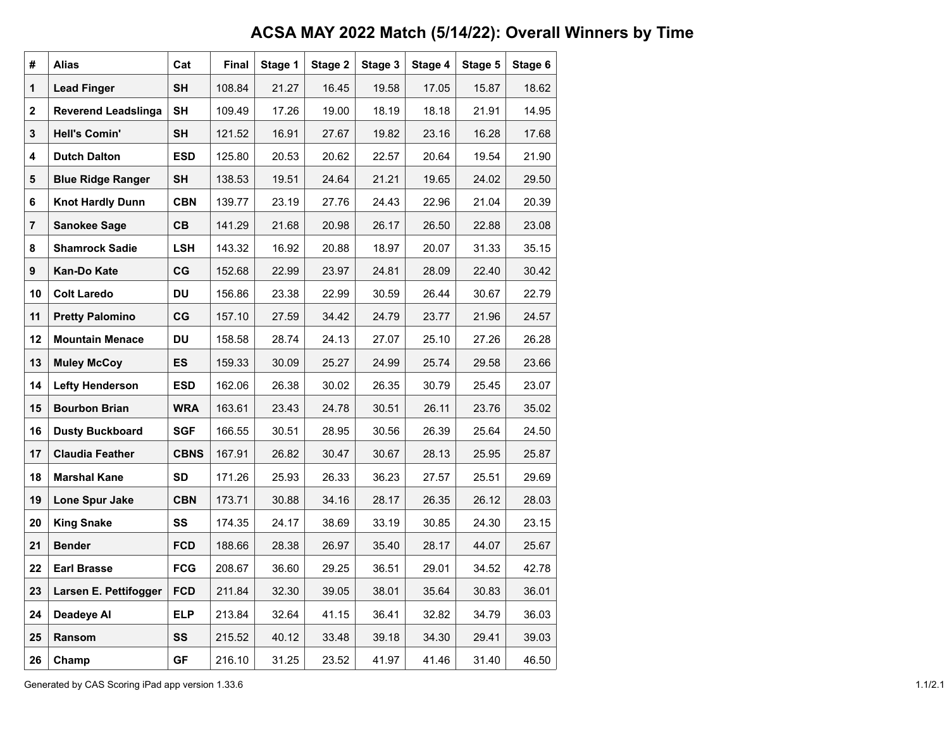## **ACSA MAY 2022 Match (5/14/22): Overall Winners by Time**

| #  | <b>Alias</b>               | Cat         | Final  | Stage 1 | Stage 2 | Stage 3 | Stage 4 | Stage 5 | Stage 6 |
|----|----------------------------|-------------|--------|---------|---------|---------|---------|---------|---------|
| 1  | <b>Lead Finger</b>         | <b>SH</b>   | 108.84 | 21.27   | 16.45   | 19.58   | 17.05   | 15.87   | 18.62   |
| 2  | <b>Reverend Leadslinga</b> | SΗ          | 109.49 | 17.26   | 19.00   | 18.19   | 18.18   | 21.91   | 14.95   |
| 3  | <b>Hell's Comin'</b>       | <b>SH</b>   | 121.52 | 16.91   | 27.67   | 19.82   | 23.16   | 16.28   | 17.68   |
| 4  | <b>Dutch Dalton</b>        | <b>ESD</b>  | 125.80 | 20.53   | 20.62   | 22.57   | 20.64   | 19.54   | 21.90   |
| 5  | <b>Blue Ridge Ranger</b>   | SH          | 138.53 | 19.51   | 24.64   | 21.21   | 19.65   | 24.02   | 29.50   |
| 6  | <b>Knot Hardly Dunn</b>    | <b>CBN</b>  | 139.77 | 23.19   | 27.76   | 24.43   | 22.96   | 21.04   | 20.39   |
| 7  | <b>Sanokee Sage</b>        | <b>CB</b>   | 141.29 | 21.68   | 20.98   | 26.17   | 26.50   | 22.88   | 23.08   |
| 8  | <b>Shamrock Sadie</b>      | <b>LSH</b>  | 143.32 | 16.92   | 20.88   | 18.97   | 20.07   | 31.33   | 35.15   |
| 9  | Kan-Do Kate                | CG          | 152.68 | 22.99   | 23.97   | 24.81   | 28.09   | 22.40   | 30.42   |
| 10 | <b>Colt Laredo</b>         | DU          | 156.86 | 23.38   | 22.99   | 30.59   | 26.44   | 30.67   | 22.79   |
| 11 | <b>Pretty Palomino</b>     | $_{\rm CG}$ | 157.10 | 27.59   | 34.42   | 24.79   | 23.77   | 21.96   | 24.57   |
| 12 | <b>Mountain Menace</b>     | DU          | 158.58 | 28.74   | 24.13   | 27.07   | 25.10   | 27.26   | 26.28   |
| 13 | <b>Muley McCoy</b>         | ES          | 159.33 | 30.09   | 25.27   | 24.99   | 25.74   | 29.58   | 23.66   |
| 14 | <b>Lefty Henderson</b>     | <b>ESD</b>  | 162.06 | 26.38   | 30.02   | 26.35   | 30.79   | 25.45   | 23.07   |
| 15 | <b>Bourbon Brian</b>       | <b>WRA</b>  | 163.61 | 23.43   | 24.78   | 30.51   | 26.11   | 23.76   | 35.02   |
| 16 | <b>Dusty Buckboard</b>     | <b>SGF</b>  | 166.55 | 30.51   | 28.95   | 30.56   | 26.39   | 25.64   | 24.50   |
| 17 | <b>Claudia Feather</b>     | <b>CBNS</b> | 167.91 | 26.82   | 30.47   | 30.67   | 28.13   | 25.95   | 25.87   |
| 18 | <b>Marshal Kane</b>        | SD          | 171.26 | 25.93   | 26.33   | 36.23   | 27.57   | 25.51   | 29.69   |
| 19 | Lone Spur Jake             | <b>CBN</b>  | 173.71 | 30.88   | 34.16   | 28.17   | 26.35   | 26.12   | 28.03   |
| 20 | <b>King Snake</b>          | SS          | 174.35 | 24.17   | 38.69   | 33.19   | 30.85   | 24.30   | 23.15   |
| 21 | <b>Bender</b>              | <b>FCD</b>  | 188.66 | 28.38   | 26.97   | 35.40   | 28.17   | 44.07   | 25.67   |
| 22 | <b>Earl Brasse</b>         | <b>FCG</b>  | 208.67 | 36.60   | 29.25   | 36.51   | 29.01   | 34.52   | 42.78   |
| 23 | Larsen E. Pettifogger      | <b>FCD</b>  | 211.84 | 32.30   | 39.05   | 38.01   | 35.64   | 30.83   | 36.01   |
| 24 | Deadeye Al                 | <b>ELP</b>  | 213.84 | 32.64   | 41.15   | 36.41   | 32.82   | 34.79   | 36.03   |
| 25 | Ransom                     | SS          | 215.52 | 40.12   | 33.48   | 39.18   | 34.30   | 29.41   | 39.03   |
| 26 | Champ                      | <b>GF</b>   | 216.10 | 31.25   | 23.52   | 41.97   | 41.46   | 31.40   | 46.50   |

Generated by CAS Scoring iPad app version 1.33.6 1.1/2.1